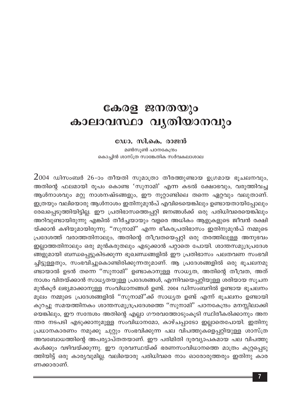## കേരള ജനതയും കാലാവസ്ഥാ വൃതിയാനവും

## ഡോ. സി.കെ. രാജൻ

മൺസൂൺ പഠനകേന്ദ്രം കൊച്ചിൻ ശാസ്ത്ര സാങ്കേതിക സർവകലാശാല

 $2$ 004 ഡിസംബർ 26-ാം തീയതി സുമാത്രാ തീരത്തുണ്ടായ ഉഗ്രമായ ഭൂചലനവും, അതിന്റെ ഫലമായി രൂപം കൊണ്ട 'സുനാമി' എന്ന കടൽ ക്ഷോഭവും, വരുത്തിവച്ച ആൾനാശവും മറ്റു നാശനഷ്ടങ്ങളും, ഈ നൂറ്റാണ്ടിലെ തന്നെ ഏറ്റവും വലുതാണ്. ഇത്രയും വലിയൊരു ആൾനാശം ഇതിനുമുൻപ് എവിടെയെങ്കിലും ഉണ്ടായതായിപ്പോലും രേഖപ്പെടുത്തിയിട്ടില്ല. ഈ പ്രതിഭാസത്തെപ്പറ്റി ജനങ്ങൾക്ക് ഒരു പരിധിവരെയെങ്കിലും അറിവുണ്ടായിരുന്നു എങ്കിൽ തീർച്ചയായും വളരെ അധികം ആളുകളുടെ ജീവൻ രക്ഷി യ്ക്കാൻ കഴിയുമായിരുന്നു. ''സുനാമി'' എന്ന ഭീകരപ്രതിഭാസം ഇതിനുമുൻപ് നമ്മുടെ പ്രദേശത്ത് വരാത്തതിനാലും, അതിന്റെ തീവ്രതയെപ്പറ്റി ഒരു തരത്തിലുള്ള അനുഭവം ഇല്ലാത്തതിനാലും ഒരു മുൻകരുതലും എടുക്കാൻ പറ്റാതെ പോയി. ശാന്തസമുദ്രപ്രദേശ ങ്ങളുമായി ബന്ധപ്പെട്ടുകിടക്കുന്ന ഭൂഖണ്ഡങ്ങളിൽ ഈ പ്രതിഭാസം പലതവണ സംഭവി ച്ചിട്ടുള്ളതും, സംഭവിച്ചുകൊണ്ടിരിക്കുന്നതുമാണ്. ആ പ്രദേശങ്ങളിൽ ഒരു ഭൂചലനമു ണ്ടായാൽ ഉടൻ തന്നെ ''സുനാമി'' ഉണ്ടാകാനുള്ള സാധ്യത, അതിന്റെ തീവ്രത, അത് നാശം വിതയ്ക്കാൻ സാധ്യതയുള്ള പ്രദേശങ്ങൾ, എന്നിവയെപ്പറ്റിയുള്ള ശരിയായ സൂചന മുൻകൂർ ലഭ്യമാക്കാനുള്ള സംവിധാനങ്ങൾ ഉണ്ട്. 2004 ഡിസംബറിൽ ഉണ്ടായ ഭൂചലനം മൂലം നമ്മുടെ പ്രദേശങ്ങളിൽ ''സുനാമി''ക്ക് സാധ്യത ഉണ്ട് എന്ന് ഭൂചലനം ഉണ്ടായി കുറച്ചു സമയത്തിനകം ശാന്തസമുദ്രപ്രദേശത്തെ ''സുനാമി'' പഠനകേന്ദ്രം മനസ്സിലാക്കി യെങ്കിലും, ഈ സന്ദേശം അതിന്റെ എല്ലാ ഗൗരവത്തോടുംകൂടി സ്ഥിരീകരിക്കാനും അന ന്തര നടപടി എടുക്കാനുമുള്ള സംവിധാനമോ, കാഴ്ചപ്പാടോ ഇല്ലാതെപോയി. ഇതിനു പ്രധാനകാരണം നമുക്കു ചുറ്റും സംഭവിക്കുന്ന പല വിപത്തുകളെപ്പറ്റിയുള്ള ശാസ്ത്ര അവബോധത്തിന്റെ അപര്യാപ്തതയാണ്. ഈ പരിമിതി ദൂരവ്യാപകമായ പല വിപത്തു കൾക്കും വഴിവയ്ക്കുന്നു. ഈ ദുരവസ്ഥയ്ക്ക് ഭരണസംവിധാനത്തെ മാത്രം കുറ്റപ്പെടു ത്തിയിട്ട് ഒരു കാര്യവുമില്ല. വലിയൊരു പരിധിവരെ നാം ഓരോരുത്തരും ഇതിനു കാര ണക്കാരാണ്.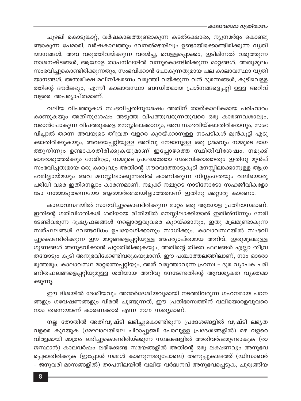## ≡കാലാവസ്ഥാ വൃതിയാനം

ചുഴലി കൊടുങ്കാറ്റ്, വർഷകാലത്തുണ്ടാകുന്ന കടൽക്ഷോഭം, ന്യൂനമർദ്ദം കൊണ്ടു ണ്ടാകുന്ന പേമാരി, വർഷകാലത്തും വേനൽമഴയിലും ഉണ്ടായിക്കൊണ്ടിരിക്കുന്ന വൃതി യാനങ്ങൾ, അവ വരുത്തിവയ്ക്കുന്ന വരൾച്ച, വെള്ളപ്പൊക്കം, ഇടിമിന്നൽ വരുത്തുന്ന നാശനഷ്ടങ്ങൾ, ആഗോള താപനിലയിൽ വന്നുകൊണ്ടിരിക്കുന്ന മാറ്റങ്ങൾ, അതുമൂലം സംഭവിച്ചുകൊണ്ടിരിക്കുന്നതും, സംഭവിക്കാൻ പോകുന്നതുമായ പല കാലാവസ്ഥാ വൃതി യാനങ്ങൾ, അന്തരീക്ഷ മലിനീകരണം വരുത്തി വയ്ക്കുന്ന വൻ ദുരന്തങ്ങൾ, കുടിവെള്ള ത്തിന്റെ ദൗർലഭ്യം, എന്നീ കാലാവസ്ഥാ ബന്ധിതമായ പ്രശ്നങ്ങളെപ്പറ്റി ഉള്ള അറിവ് വളരെ അപര്യാപ്തമാണ്.

വലിയ വിപത്തുകൾ സംഭവിച്ചതിനുശേഷം അതിന് താത്കാലികമായ പരിഹാരം കാണുകയും അതിനുശേഷം അടുത്ത വിപത്തുവരുന്നതുവരെ ഒരു കാരണവശാലും, വരാൻപോകുന്ന വിപത്തുകളെ മനസ്സിലാക്കാനും, അവ സംഭവിയ്ക്കാതിരിക്കാനും, സംഭ വിച്ചാൽ തന്നെ അവയുടെ തീവ്രത വളരെ കുറയ്ക്കാനുള്ള നടപടികൾ മുൻകൂട്ടി എടു ക്കാതിരിക്കുകയും, അവയെപ്പറ്റിയുള്ള അറിവു നേടാനുള്ള ഒരു ശ്രമവും നമ്മുടെ ഭാഗ ത്തുനിന്നും ഉണ്ടാകാതിരിക്കുകയുമാണ് ഇപ്പോഴത്തെ സ്ഥിതിവിശേഷം. നമുക്ക് ഓരോരുത്തർക്കും നേരിട്ടോ, നമ്മുടെ പ്രദേശത്തോ സംഭവിക്കാത്തതും ഇതിനു മുൻപ് സംഭവിച്ചതുമായ ഒരു കാര്യവും അതിന്റെ ഗൗരവത്തോടുകൂടി മനസ്സിലാക്കാനുള്ള ആഗ്ര ഹമില്ലായ്മയും അവ മനസ്സിലാക്കുന്നതിൽ കാണിക്കുന്ന നിസ്സംഗതയും വലിയൊരു പരിധി വരെ ഇതിനെല്ലാം കാരണമാണ്. നമുക്ക് നമ്മുടെ നാടിനോടോ സഹജീവികളോ ടോ നമ്മോടുതന്നെയോ ആത്മാർത്ഥതയില്ലാത്തതാണ് ഇതിനു മറ്റൊരു കാരണം.

കാലാവസ്ഥയിൽ സംഭവിച്ചുകൊണ്ടിരിക്കുന്ന മാറ്റം ഒരു ആഗോള പ്രതിഭാസമാണ്. ഇതിന്റെ ഗതിവിഗതികൾ ശരിയായ രീതിയിൽ മനസ്സിലാക്കിയാൽ ഇതിൽനിന്നും നേരി ടേണ്ടിവരുന്ന ദൂഷ്യഫലങ്ങൾ നല്ലൊരളവുവരെ കുറയ്ക്കാനും, ഇതു മൂലമുണ്ടാകുന്ന സത്ഫലങ്ങൾ വേണ്ടവിധം ഉപയോഗിക്കാനും സാധിക്കും. കാലാവസ്ഥയിൽ സംഭവി ച്ചുകൊണ്ടിരിക്കുന്ന ഈ മാറ്റങ്ങളെപ്പറ്റിയുള്ള അപര്യാപ്തമായ അറിവ്, ഇതുമൂലമുള്ള ഗുണങ്ങൾ അനുഭവിക്കാൻ പറ്റാതിരിക്കുകയും, അതിന്റെ തിക്ത ഫലങ്ങൾ എല്ലാ തീവ്ര തയോടും കൂടി അനുഭവിക്കേണ്ടിവരുകയുമാണ്. ഈ പശ്ചാത്തലത്തിലാണ്, നാം ഓരോ രുത്തരും, കാലാവസ്ഥ മാറ്റത്തെപ്പറ്റിയും, അത് വരുത്താവുന്ന ഹ്രസ്വ - ദൂര വ്യാപക പരി ണിതഫലങ്ങളെപ്പറ്റിയുമുള്ള ശരിയായ അറിവു നേടേണ്ടതിന്റെ ആവശ്യകത വ്യക്തമാ ക്കുന്നു.

ഈ ദിശയിൽ ദേശീയവും അന്തർദേശീയവുമായി നടത്തിവരുന്ന ഗഹനമായ പഠന ങ്ങളും ഗവേഷണങ്ങളും വിരൽ ചൂണ്ടുന്നത്, ഈ പ്രതിഭാസത്തിന് വലിയൊരളവുവരെ നാം തന്നെയാണ് കാരണക്കാർ എന്ന നഗ്ന സത്യമാണ്.

നല്ല തോതിൽ അതിവൃഷ്ടി ലഭിച്ചുകൊണ്ടിരുന്ന പ്രദേശങ്ങളിൽ വൃഷ്ടി ലഭ്യത വളരെ കുറയുക (മേഘാലയിലെ ചിറാപ്പുഞ്ചി പോലുള്ള പ്രദേശങ്ങളിൽ) മഴ വളരെ വിരളമായി മാത്രം ലഭിച്ചുകൊണ്ടിരിയ്ക്കുന്ന സ്ഥലങ്ങളിൽ അതിവർഷമുണ്ടാകുക (രാ ജസ്ഥാൻ) കാലവർഷം ലഭിക്കേണ്ട സമയങ്ങളിൽ അതിന്റെ ഒരു ലക്ഷണവും അനുഭവ പ്പെടാതിരിക്കുക (ഇപ്പോൾ നമ്മൾ കാണുന്നതുപോലെ) തണുപ്പുകാലത്ത് (ഡിസംബർ – ജനുവരി മാസങ്ങളിൽ) താപനിലയിൽ വലിയ വർദ്ധനവ് അനുഭവപ്പെടുക, ചുരുങ്ങിയ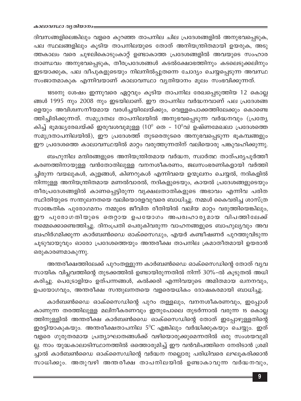ദിവസങ്ങളിലെങ്കിലും വളരെ കുറഞ്ഞ താപനില ചില പ്രദേശങ്ങളിൽ അനുഭവപ്പെടുക, പല സ്ഥലങ്ങളിലും കൂടിയ താപനിലയുടെ തോത് അനിയന്ത്രിതമായി ഉയരുക, അടു ത്തകാലം വരെ ചുഴലികൊടുംകാറ്റ് ഉണ്ടാകാത്ത പ്രദേശങ്ങളിൽ അവയുടെ സംഹാര താണ്ഡവം അനുഭവപ്പെടുക, തീരപ്രദേശങ്ങൾ കടൽക്ഷോഭത്തിനും കടലെടുക്കലിനും ഇടയാക്കുക, പല ദ്വീപുകളുടെയും നിലനിൽപ്പുതന്നെ ചോദ്യം ചെയ്യപ്പെടുന്ന അവസ്ഥ സംജാതമാകുക എന്നിവയാണ് കാലാവസ്ഥാ വ്യതിയാനം മൂലം സംഭവിക്കുന്നത്.

1850നു ശേഷം ഇന്നുവരെ ഏറ്റവും കൂടിയ താപനില രേഖപ്പെടുത്തിയ 12 കൊല്ല ങ്ങൾ 1995 നും 2008 നും ഇടയിലാണ്. ഈ താപനില വർദ്ധനവാണ് പല പ്രദേശങ്ങ ളെയും അവിശ്വസനീയമായ വരൾച്ചയിലേയ്ക്കും, വെള്ളപൊക്കത്തിലേക്കും കൊണ്ടെ ത്തിച്ചിരിക്കുന്നത്. സമുദ്രതല താപനിലയിൽ അനുഭവപ്പെടുന്ന വർദ്ധനവും (പ്രത്യേ കിച്ച് ഭൂമദ്ധ്യരേഖയ്ക്ക് ഇരുവശവുമുള്ള (10 $^{\rm o}$  തെ - 10 $^{\rm o}$ വ) ഉഷ്ണമേഖലാ പ്രദേശത്തെ സമുദ്രതാപനിലയിൽ), ഈ പ്രദേശത്ത് തുടരെതുടരെ അനുഭവപ്പെടുന്ന ഭൂകമ്പങ്ങളും ഈ പ്രദേശത്തെ കാലാവസ്ഥയിൽ മാറ്റം വരുത്തുന്നതിന് വലിയൊരു പങ്കുവഹിക്കുന്നു.

ബഹുനില മന്ദിരങ്ങളുടെ അനിയന്ത്രിതമായ വർദ്ധന, സ്വാർത്ഥ താത്പര്യപൂർത്തീ കരണത്തിനായുള്ള വൻതോതിലുള്ള വനനശീകരണം, ജലസംഭരണികളായി വർത്തി ച്ചിരുന്ന വയലുകൾ, കുളങ്ങൾ, കിണറുകൾ എന്നിവയെ ഉന്മൂലനം ചെയ്യൽ, നദികളിൽ നിന്നുള്ള അനിയന്ത്രിതമായ മണൽവാരൽ, നദികളുടെയും, കായൽ പ്രദേശങ്ങളുടെയും തീരപ്രദേശങ്ങളിൽ കാണപ്പെട്ടിരുന്ന വൃക്ഷലതാതികളുടെ അഭാവം എന്നിവ പരിത സ്ഥിതിയുടെ സന്തുലനതയെ വലിയൊരളവുവരെ ബാധിച്ചു. നമ്മൾ കൈവരിച്ച ശാസ്ത്ര സാങ്കേതിക പുരോഗമനം നമ്മുടെ ജീവിത രീതിയിൽ വലിയ മാറ്റം വരുത്തിയെങ്കിലും, ഈ പുരോഗതിയുടെ തെറ്റായ ഉപയോഗം അപരിഹാര്യമായ വിപത്തിലേക്ക് നമ്മെക്കൊണ്ടെത്തിച്ചു. ദിനംപ്രതി പെരുകിവരുന്ന വാഹനങ്ങളുടെ ബാഹുല്യവും അവ ബഹിർഗമിക്കുന്ന കാർബൺഡൈ ഓക്സൈഡും, എയർ കണ്ടീഷണർ പുറത്തുവിടുന്ന ചൂടുവായുവും ഓരോ പ്രദേശത്തെയും അന്തരീക്ഷ താപനില ക്രമാതീതമായി ഉയരാൻ ഒരുകാരണമാകുന്നു.

അന്തരീക്ഷത്തിലേക്ക് പുറംതള്ളുന്ന കാർബൺഡൈ ഓക്സൈഡിന്റെ തോത് വ്യവ സായിക വിപ്ലവത്തിന്റെ തുടക്കത്തിൽ ഉണ്ടായിരുന്നതിൽ നിന്ന് 30%-ൽ കൂടുതൽ അധി കരിച്ചു. പെട്രോളിയം ഉത്പന്നങ്ങൾ, കൽക്കരി എന്നിവയുടെ അമിതമായ ഖനനവും, ഉപയോഗവും, അന്തരീക്ഷ സന്തുലനതയെ വളരെയധികം ദോഷകരമായി ബാധിച്ചു.

കാർബൺഡൈ ഓക്സൈഡിന്റെ പുറം തള്ളലും, വനനശീകരണവും, ഇപ്പോൾ കാണുന്ന തരത്തിലുള്ള മലിനീകരണവും ഇതുപോലെ തുടർന്നാൽ വരുന്ന 15 കൊല്ല ത്തിനുള്ളിൽ അന്തരീക്ഷ കാർബൺഡൈ ഓക്സൈഡിന്റെ തോത് ഇപ്പോഴുള്ളതിന്റെ ഇരട്ടിയാകുകയും. അന്തരീക്ഷതാപനില 5°C എങ്കിലും വർദ്ധിക്കുകയും ചെയ്യും. ഇത് വളരെ ഗുരുതരമായ പ്രത്യാഘാതങ്ങൾക്ക് വഴിയൊരുക്കുമെന്നതിൽ ഒരു സംശയവുമി ല്ല. നാം യുദ്ധകാലാടിസ്ഥാനത്തിൽ ഒത്തൊരുമിച്ച് ഈ വൻവിപത്തിനെ നേരിടാൻ ശ്രമി ച്ചാൽ കാർബൺഡൈ ഓക്സൈഡിന്റെ വർദ്ധന നല്ലൊരു പരിധിവരെ ലഘൂകരിക്കാൻ സാധിക്കും. അതുവഴി അന്തരീക്ഷ താപനിലയിൽ ഉണ്ടാകാവുന്ന വർദ്ധനവും,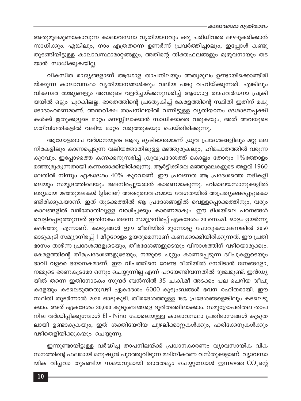അതുമൂലമുണ്ടാകാവുന്ന കാലാവസ്ഥാ വ്യതിയാനവും ഒരു പരിധിവരെ ലഘൂകരിക്കാൻ സാധിക്കും. എങ്കിലും, നാം എത്രതന്നെ ഉണർന്ന് പ്രവർത്തിച്ചാലും, ഇപ്പോൾ കണ്ടു തുടങ്ങിയിട്ടുള്ള കാലാവസ്ഥാമാറ്റങ്ങളും, അതിന്റെ തിക്തഫലങ്ങളും മുഴുവനായും തട യാൻ സാധിക്കുകയില്ല.

വികസിത രാജ്യങ്ങളാണ് ആഗോള താപനിലയും അതുമൂലം ഉണ്ടായിക്കൊണ്ടിരി യ്ക്കുന്ന കാലാവസ്ഥാ വൃതിയാനങ്ങൾക്കും വലിയ പങ്കു വഹിയ്ക്കുന്നത്. എങ്കിലും വികസ്ഥര രാജ്യങ്ങളും അവരുടെ വളർച്ചയ്ക്കനുസരിച്ച് ആഗോള താപവർദ്ധനാ പ്രക്രി യയിൽ ഒട്ടും പുറകിലല്ല. ഭാരതത്തിന്റെ പ്രത്യേകിച്ച് കേരളത്തിന്റെ സ്ഥിതി ഇതിന് മകു ടോദാഹരണമാണ്. അന്തരീക്ഷ താപനിലയിൽ വന്നിട്ടുള്ള വൃതിയാനം ദേശാടനപ്പക്ഷി കൾക്ക് ഋതുക്കളുടെ മാറ്റം മനസ്സിലാക്കാൻ സാധിക്കാതെ വരുകയും, അത് അവയുടെ ഗതിവിഗതികളിൽ വലിയ മാറ്റം വരുത്തുകയും ചെയ്തിരിക്കുന്നു.

ആഗോളതാപ വർദ്ധനയുടെ ആദ്യ ദൃഷ്ടാന്തമാണ് ധ്രുവ പ്രദേശങ്ങളിലും മറ്റു മല നിരകളിലും കാണപ്പെടുന്ന വലിയതോതിലുള്ള മഞ്ഞുരുകലും, ഹിമപാതത്തിൽ വരുന്ന കുറവും. ഇപ്പോഴത്തെ കണക്കനുസരിച്ച് ധ്രുവപ്രദേശത്ത് കൊല്ലം തോറും 1%ത്തോളം മഞ്ഞുരുകുന്നതായി കണക്കാക്കിയിരിക്കുന്നു. ആർട്ടിക്കിലെ മഞ്ഞുമലകളുടെ അളവ് 1960 ലേതിൽ നിന്നും ഏകദേശം 40% കുറവാണ്. ഈ പ്രവണത ആ പ്രദേശത്തെ നദികളി ലെയും സമുദ്രത്തിലെയും ജലനിരപ്പുയരാൻ കാരണമാകുന്നു. ഹിമാലയസാനുക്കളിൽ ലഭ്യമായ മഞ്ഞുമലകൾ (glacier) അത്ഭുതാവഹമായ വേഗതയിൽ അപ്രത്യക്ഷപ്പെട്ടുകൊ ണ്ടിരിക്കുകയാണ്. ഇത് തുടക്കത്തിൽ ആ പ്രദേശങ്ങളിൽ വെള്ളപ്പൊക്കത്തിനും, വരും കാലങ്ങളിൽ വൻതോതിലുള്ള വരൾച്ചക്കും കാരണമാകും. ഈ ദിശയിലെ പഠനങ്ങൾ വെളിപ്പെടുത്തുന്നത് ഇതിനകം തന്നെ സമുദ്രനിരപ്പ് ഏകദേശം 20 സെ.മീ. ഓളം ഉയർന്നു കഴിഞ്ഞു എന്നാണ്. കാര്യങ്ങൾ ഈ രീതിയിൽ മുന്നോട്ടു പോവുകയാണെങ്കിൽ 2050 ഓടുകൂടി സമുദ്രനിരപ്പ് 1 മീറ്ററോളം ഉയരുമെന്നാണ് കണക്കാക്കിയിരിക്കുന്നത്. ഈ പ്രതി ഭാസം താഴ്ന്ന പ്രദേശങ്ങളുടെയും, തീരദേശങ്ങളുടെയും വിനാശത്തിന് വഴിയൊരുക്കും. കേരളത്തിന്റെ തീരപ്രദേശങ്ങളുടേയും, നമ്മുടെ ചുറ്റും കാണപ്പെടുന്ന ദ്വീപുകളുടെയും ഭാവി വളരെ ഭയാനകമാണ്. ഈ വിപത്തിനെ വേണ്ട രീതിയിൽ നേരിടാൻ ജനങ്ങളോ, നമ്മുടെ ഭരണകൂടമോ ഒന്നും ചെയ്യുന്നില്ല എന്ന് പറയേണ്ടിവന്നതിൽ ദുഃഖമുണ്ട്. ഇൻഡ്യ യിൽ തന്നെ ഇതിനോടകം സുന്ദർ ബൻസിൽ 35 ച.കി.മീ അടക്കം പല ചെറിയ ദ്വീപു കളേയും കടലെടുത്തതുവഴി ഏകദേശം 6000 കുടുംബങ്ങൾ ഭവന രഹിതരായി. ഈ സ്ഥിതി തുടർന്നാൽ 2020 ഓടുകൂടി, തീരദേശത്തുള്ള 15% പ്രദേശങ്ങളെങ്കിലും കടലെടു ക്കാം. അത് ഏകദേശം 30,000 കുടുംബങ്ങളെ ദുരിതത്തിലാക്കാം. സമുദ്രോപരിതല താപ നില വർദ്ധിപ്പിക്കുമ്പോൾ El - Nino പോലെയുള്ള കാലാവസ്ഥാ പ്രതിഭാസങ്ങൾ കൂടുത ലായി ഉണ്ടാകുകയും, ഇത് ശക്തിയേറിയ ചുഴലിക്കാറ്റുകൾക്കും, ഹരിക്കേനുകൾക്കും വഴിതെളിയിക്കുകയും ചെയ്യുന്നു.

ഇന്നുണ്ടായിട്ടുള്ള വർദ്ധിച്ച താപനിലയ്ക്ക് പ്രധാനകാരണം വ്യാവസായിക വിക സനത്തിന്റെ ഫലമായി മനുഷ്യൻ പുറത്തുവിടുന്ന മലിനീകരണ വസ്തുക്കളാണ്. വ്യാവസാ യിക വിപ്ലവം തുടങ്ങിയ സമയവുമായി താരതമ്യം ചെയ്യുമ്പോൾ ഇന്നത്തെ CO<sub>,</sub>ന്റെ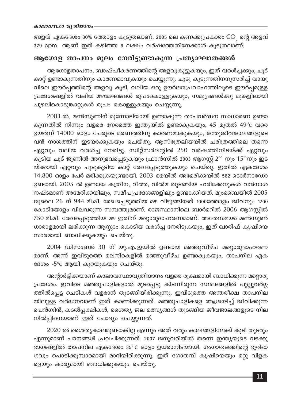അളവ് ഏകദേശം 30% ത്തോളം കൂടുതലാണ്. 2005 ലെ കണക്കുപ്രകാരം  $\mathrm{CO}_2$  ന്റെ അളവ് .<br>379 ppm ആണ് ഇത് കഴിഞ്ഞ 6 ലക്ഷം വർഷത്തേതിനേക്കാൾ കൂടുതലാണ്.

## ആഗോള താപനം മൂലം നേരിട്ടുണ്ടാകുന്ന പ്രത്യാഘാതങ്ങൾ

ആഗോളതാപനം, ബാഷ്പീകരണത്തിന്റെ അളവുകൂട്ടുകയും, ഇത് വരൾച്ചക്കും, ചൂട് കാറ്റ് ഉണ്ടാകുന്നതിനും കാരണമാവുകയും ചെയ്യുന്നു. ചൂടു കൂടുന്നതിനനുസരിച്ച് വായു വിലെ ഈർപ്പത്തിന്റെ അളവു കൂടി, വലിയ ഒരു ഊർജ്ജപ്രവാഹത്തിലൂടെ ഈർപ്പമുള്ള പ്രദേശങ്ങളിൽ വലിയ മഴമേഘങ്ങൾ രൂപംകൊള്ളുകയും, സമുദ്രങ്ങൾക്കു മുകളിലായി ചുഴലികൊടുങ്കാറ്റുകൾ രൂപം കൊള്ളുകയും ചെയ്യുന്നു.

2003 ൽ, മൺസൂണിന് മുന്നോടിയായി ഉണ്ടാകുന്ന താപവർദ്ധന സാധാരണ ഉണ്ടാ കുന്നതിൽ നിന്നും വളരെ നേരത്തെ ഇന്ത്യയിൽ ഉണ്ടാകുകയും, 45 മുതൽ 49<sup>0</sup>c വരെ ഉയർന്ന് 14000 ഓളം പേരുടെ മരണത്തിനു കാരണമാകുകയും, ജന്തുജീവജാലങ്ങളുടെ വൻ നാശത്തിന് ഇടയാക്കുകയും ചെയ്തു. ആസ്ത്രേലിയയിൽ ചരിത്രത്തിലെ തന്നെ ഏറ്റവും വലിയ വരൾച്ച നേരിട്ടു. സ്വിറ്റ്സർലന്റിൽ 250 വർഷത്തിനിടയ്ക്ക് ഏറ്റവും കൂടിയ ചൂട് ജൂണിൽ അനുഭവപ്പെടുകയും ഫ്രാൻസിൽ 2003 ആഗസ്റ്റ് 2<sup>nd</sup> നും 15<sup>th</sup>നും ഇട യ്ക്കായി ഏറ്റവും ചൂടുകൂടിയ കാറ്റ് രേഖപ്പെടുത്തുകയും ചെയ്തു. ഇതിൽ ഏകദേശം 14,800 ഓളം പേർ മരിക്കുകയുണ്ടായി. 2003 മെയിൽ അമേരിക്കയിൽ 562 ടൊർനാഡോ ഉണ്ടായി. 2005 ൽ ഉണ്ടായ കത്രീന, റീത്ത, വിൽമ തുടങ്ങിയ ഹരിക്കേനുകൾ വൻനാശ നഷ്ടമാണ് അമേരിക്കയിലും, സമീപപ്രദേശങ്ങളിലും ഉണ്ടാക്കിയത്. മുംബൈയിൽ 2005 ജൂലൈ 26 ന് 944 മി.മീ. രേഖപ്പെടുത്തിയ മഴ വിഴുങ്ങിയത് 1000ത്തോളം ജീവനും 1700 കോടിയോളം വിലവരുന്ന സമ്പത്തുമാണ്. രാജസ്ഥാനിലെ ബാർമറിൽ 2006 ആഗസ്റ്റിൽ 750 മി.മീ. രേഖപ്പെടുത്തിയ മഴ ഇതിന് മറ്റൊരുദാഹരണമാണ്. അതേസമയം മൺസൂൺ ധാരാളമായി ലഭിക്കുന്ന ആസ്സാം കൊടിയ വരൾച്ച നേരിടുകയും, ഇത് ഖാരിഫ് കൃഷിയെ സാരമായി ബാധിക്കുകയും ചെയ്തു.

2004 ഡിസംബർ 30 ന് യു.എ.ഇയിൽ ഉണ്ടായ മഞ്ഞുവീഴ്ച മറ്റൊരുദാഹരണ മാണ്. അന്ന് ഇവിടുത്തെ മലനിരകളിൽ മഞ്ഞുവീഴ്ച ഉണ്ടാകുകയും, താപനില ഏക ദേശം -5°c ആയി കുറയുകയും ചെയ്തു.

അന്റാർട്ടിക്കയാണ് കാലാവസ്ഥാവ്യതിയാനം വളരെ രൂക്ഷമായി ബാധിക്കുന്ന മറ്റൊരു പ്രദേശം. ഇവിടെ മഞ്ഞുപാളികളാൽ മൂടപ്പെട്ടു കിടന്നിരുന്ന സ്ഥലങ്ങളിൽ പുല്ലുവർഗ്ഗ ത്തിൽപ്പെട്ട ചെടികൾ വളരാൻ തുടങ്ങിയിരിക്കുന്നു. ഇവിടുത്തെ അന്തരീക്ഷ താപനില യിലുള്ള വർദ്ധനവാണ് ഇത് കാണിക്കുന്നത്. മഞ്ഞുപാളികളെ ആശ്രയിച്ച് ജീവിക്കുന്ന പെൻഗ്വിൻ, കടൽപ്പക്ഷികൾ, ശൈത്യ ജല മത്സ്യങ്ങൾ തുടങ്ങിയ ജീവജാലങ്ങളുടെ നില നിൽപ്പിനെയാണ് ഇത് ചോദ്യം ചെയ്യുന്നത്.

2020 ൽ ശൈത്യകാലമുണ്ടാകില്ല എന്നും അത് വരും കാലങ്ങളിലേക്ക് കൂടി തുടരും എന്നുമാണ് പഠനങ്ങൾ പ്രവചിക്കുന്നത്. 2007 ജനുവരിയിൽ തന്നെ ഇന്ത്യയുടെ വടക്കു ഭാഗങ്ങളിൽ താപനില ഏകദേശം 35°C ഓളം ഉയരാനിടയായി. ഗംഗാതടത്തിന്റെ ഭൂരിഭാ ഗവും പൊടിക്കൂമ്പാരമായി മാറിയിരിക്കുന്നു. ഇത് ഗോതമ്പ് കൃഷിയെയും മറ്റു വിളക ളെയും കാര്യമായി ബാധിക്കുകയും ചെയ്തു.